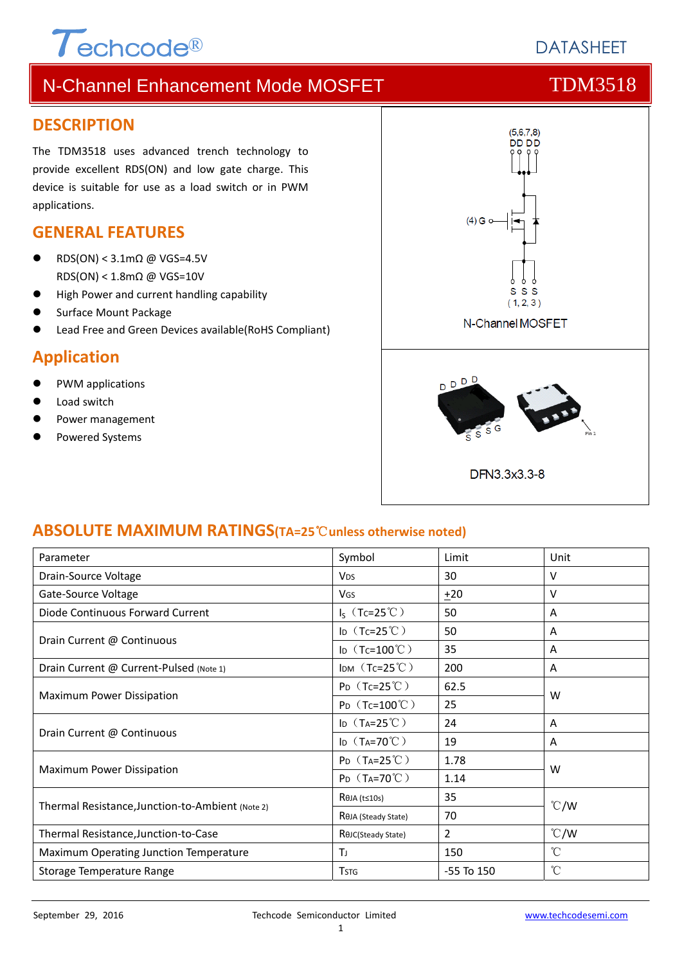# $\tau$ echcode®

# **DATASHEFT**

# N-Channel Enhancement Mode MOSFET THE TDM3518

#### **DESCRIPTION**

The TDM3518 uses advanced trench technology to provide excellent RDS(ON) and low gate charge. This device is suitable for use as a load switch or in PWM applications.

### **GENERAL FEATURES**

- RDS(ON) < 3.1mΩ @ VGS=4.5V RDS(ON) < 1.8mΩ @ VGS=10V
- High Power and current handling capability
- Surface Mount Package
- Lead Free and Green Devices available(RoHS Compliant)

### **Application**

- PWM applications
- Load switch
- Power management
- Powered Systems



#### **ABSOLUTE MAXIMUM RATINGS(TA=25**℃**unless otherwise noted)**

| Parameter                                        | Symbol                       | Limit          | Unit            |  |
|--------------------------------------------------|------------------------------|----------------|-----------------|--|
| Drain-Source Voltage                             | <b>V<sub>DS</sub></b>        | 30             | $\vee$          |  |
| Gate-Source Voltage                              | <b>V<sub>GS</sub></b>        | $+20$          | $\vee$          |  |
| Diode Continuous Forward Current                 | $I_S$ (Tc=25°C)              | 50             | A               |  |
| Drain Current @ Continuous                       | ID $(Tc=25^{\circ}C)$        | 50             | Α               |  |
|                                                  | ID $(Tc=100^{\circ}C)$       | 35             | A               |  |
| Drain Current @ Current-Pulsed (Note 1)          | IDM $(Tc=25^{\circ}C)$       | 200            | A               |  |
| Maximum Power Dissipation                        | $P_D$ (Tc=25°C)              | 62.5           | W               |  |
|                                                  | $P_D$ (Tc=100°C)             | 25             |                 |  |
| Drain Current @ Continuous                       | ID $(T_A=25^{\circ}C)$       | 24             | A               |  |
|                                                  | ID $(T_A=70^{\circ}C)$       | 19             | A               |  |
| Maximum Power Dissipation                        | $P_D$ (T <sub>A</sub> =25°C) | 1.78           | W               |  |
|                                                  | $P_D$ (T <sub>A</sub> =70°C) | 1.14           |                 |  |
| Thermal Resistance, Junction-to-Ambient (Note 2) | $R$ $\theta$ JA (t≤10s)      | 35             |                 |  |
|                                                  | ROJA (Steady State)          | 70             | $\degree$ C/W   |  |
| Thermal Resistance, Junction-to-Case             | ROJC(Steady State)           | 2              | $\degree$ C/W   |  |
| Maximum Operating Junction Temperature           | TJ                           | 150            | $^{\circ}$ C    |  |
| Storage Temperature Range                        | <b>TSTG</b>                  | $-55$ To $150$ | $\rm ^{\circ}C$ |  |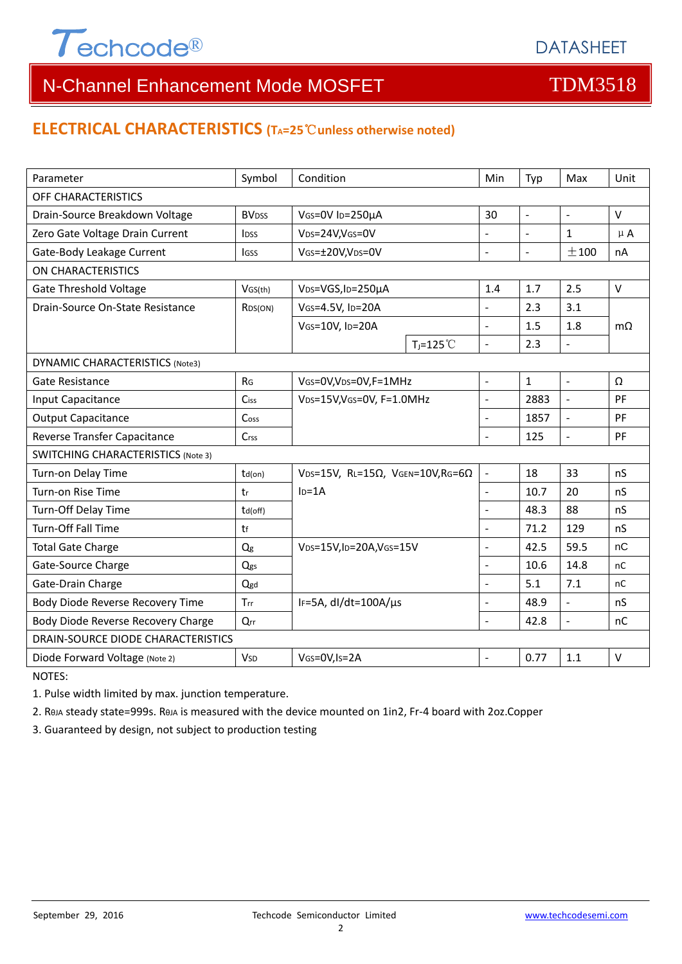

## **ELECTRICAL CHARACTERISTICS (TA=25**℃**unless otherwise noted)**

| Parameter                                 | Symbol                  | Condition                                                     |                     | Min                      | Typ            | Max                      | Unit      |  |  |  |
|-------------------------------------------|-------------------------|---------------------------------------------------------------|---------------------|--------------------------|----------------|--------------------------|-----------|--|--|--|
| OFF CHARACTERISTICS                       |                         |                                                               |                     |                          |                |                          |           |  |  |  |
| Drain-Source Breakdown Voltage            | <b>BV<sub>DSS</sub></b> | VGS=0V ID=250µA                                               |                     | 30                       | $\mathbb{L}$   | $\omega$                 | V         |  |  |  |
| Zero Gate Voltage Drain Current           | <b>IDSS</b>             | V <sub>DS</sub> =24V,V <sub>GS</sub> =0V                      |                     | ÷,                       | $\blacksquare$ | $\mathbf{1}$             | $\mu$ A   |  |  |  |
| Gate-Body Leakage Current                 | <b>I</b> GSS            | VGS=±20V,VDS=0V                                               |                     | $\overline{a}$           | $\blacksquare$ | ±100                     | nA        |  |  |  |
| <b>ON CHARACTERISTICS</b>                 |                         |                                                               |                     |                          |                |                          |           |  |  |  |
| <b>Gate Threshold Voltage</b>             | VGS(th)                 | V <sub>DS</sub> =VGS, I <sub>D</sub> =250µA                   |                     | 1.4                      | 1.7            | 2.5                      | $\vee$    |  |  |  |
| Drain-Source On-State Resistance          | R <sub>DS</sub> (ON)    | VGS=4.5V, ID=20A<br>VGS=10V, ID=20A                           |                     | $\blacksquare$           | 2.3            | 3.1                      | $m\Omega$ |  |  |  |
|                                           |                         |                                                               |                     | $\overline{a}$           | 1.5            | 1.8                      |           |  |  |  |
|                                           |                         |                                                               | $T_i = 125^{\circ}$ | $\overline{a}$           | 2.3            | $\Box$                   |           |  |  |  |
| <b>DYNAMIC CHARACTERISTICS (Note3)</b>    |                         |                                                               |                     |                          |                |                          |           |  |  |  |
| Gate Resistance                           | R <sub>G</sub>          | VGS=0V, VDS=0V, F=1MHz                                        |                     | $\overline{a}$           | $\mathbf{1}$   | $\overline{\phantom{a}}$ | Ω         |  |  |  |
| Input Capacitance                         | Ciss                    | VDS=15V, VGS=0V, F=1.0MHz                                     |                     | $\overline{a}$           | 2883           | $\mathbb{Z}$             | PF        |  |  |  |
| <b>Output Capacitance</b>                 | Coss                    |                                                               |                     | $\overline{\phantom{a}}$ | 1857           | $\bar{\phantom{a}}$      | PF        |  |  |  |
| Reverse Transfer Capacitance              | Crss                    |                                                               |                     | L.                       | 125            | $\overline{a}$           | PF        |  |  |  |
| <b>SWITCHING CHARACTERISTICS (Note 3)</b> |                         |                                                               |                     |                          |                |                          |           |  |  |  |
| Turn-on Delay Time                        | $td($ on $)$            | VDS=15V, RL=15 $\Omega$ , VGEN=10V, RG=6 $\Omega$<br>$ID=1A$  |                     | $\overline{\phantom{a}}$ | 18             | 33                       | nS        |  |  |  |
| Turn-on Rise Time                         | tr                      |                                                               |                     | ÷,                       | 10.7           | 20                       | nS        |  |  |  |
| Turn-Off Delay Time                       | $td($ off $)$           |                                                               |                     |                          | 48.3           | 88                       | nS        |  |  |  |
| Turn-Off Fall Time                        | tf                      |                                                               |                     | L.                       | 71.2           | 129                      | nS        |  |  |  |
| <b>Total Gate Charge</b>                  | Qg                      | V <sub>DS</sub> =15V,I <sub>D</sub> =20A,V <sub>GS</sub> =15V |                     | $\overline{a}$           | 42.5           | 59.5                     | nC        |  |  |  |
| Gate-Source Charge                        | Qgs                     |                                                               |                     |                          | 10.6           | 14.8                     | nC        |  |  |  |
| Gate-Drain Charge                         | Qgd                     |                                                               |                     |                          | 5.1            | 7.1                      | nC        |  |  |  |
| Body Diode Reverse Recovery Time          | Trr                     | IF=5A, dl/dt=100A/µs                                          |                     | $\overline{a}$           | 48.9           | $\overline{a}$           | nS        |  |  |  |
| Body Diode Reverse Recovery Charge        | Qrr                     |                                                               |                     | $\overline{a}$           | 42.8           | $\blacksquare$           | nC        |  |  |  |
| DRAIN-SOURCE DIODE CHARACTERISTICS        |                         |                                                               |                     |                          |                |                          |           |  |  |  |
| Diode Forward Voltage (Note 2)            | <b>V<sub>SD</sub></b>   | VGS=0V, Is=2A                                                 |                     |                          | 0.77           | 1.1                      | $\vee$    |  |  |  |

NOTES:

1. Pulse width limited by max. junction temperature.

2. RθJA steady state=999s. RθJA is measured with the device mounted on 1in2, Fr‐4 board with 2oz.Copper

3. Guaranteed by design, not subject to production testing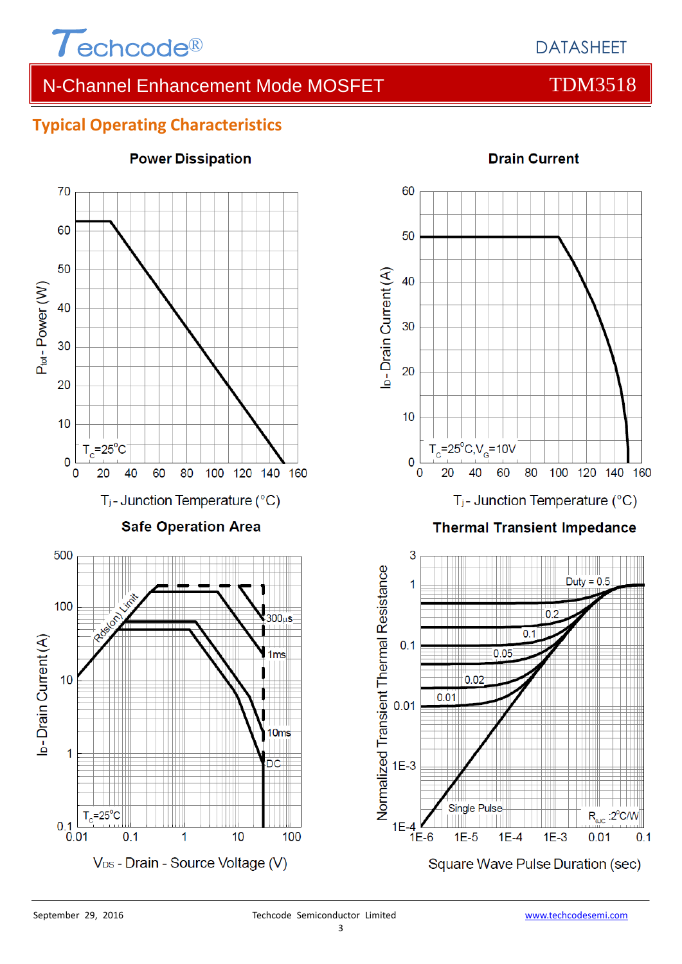

# **Typical Operating Characteristics**



# **Power Dissipation**



#### **Drain Current**

 $1E-3$ 

Square Wave Pulse Duration (sec)

 $R_{\text{a,IC}}$  :2 $^{\circ}$ C/W

 $0.1$ 

 $0.01$ 

 $1E-4$   $1E-6$ 

 $1E-5$ 

 $1E-4$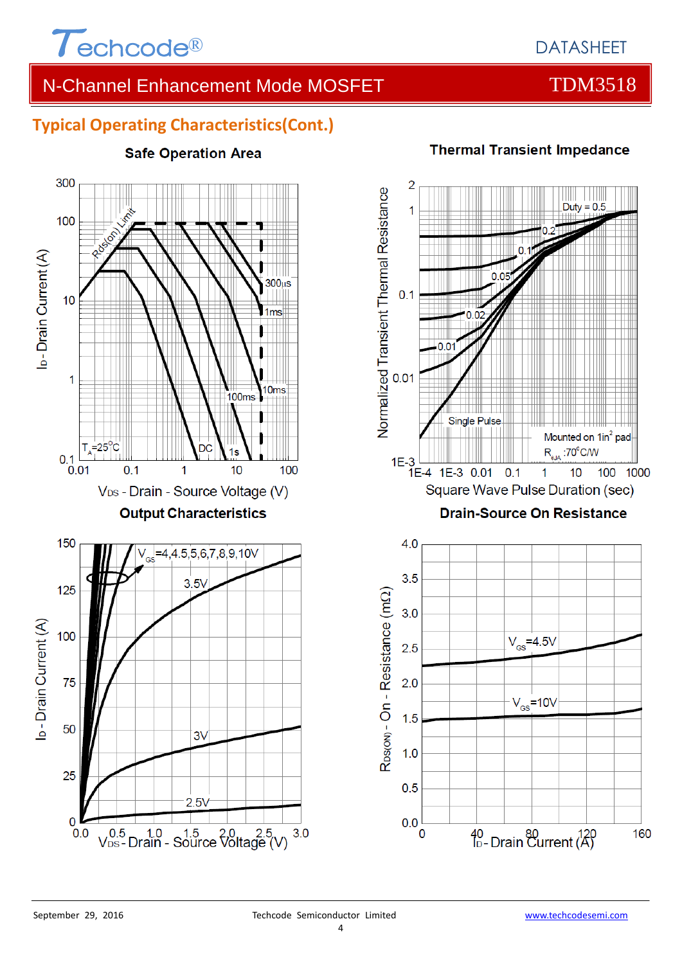

# **Typical Operating Characteristics(Cont.)**

# 300 100 I<sub>D</sub>-Drain Current (A)  $300<sub>µ</sub>$ s  $10$ 1<sub>ms</sub> 1  $10<sub>ms</sub>$ 100<sub>ms</sub>  $T_{\text{A}}$ =25<sup>o</sup>C DC  $0.1$  $0.01$  $0.1$  $\overline{1}$  $10$ 100 V<sub>DS</sub> - Drain - Source Voltage (V) **Output Characteristics** 150 4.5,5,6,7,8,9,10V  $3.5\sqrt{ }$ 125 l<sub>D</sub>-Drain Current (A) 100 75 50  $3\sqrt{ }$ 25  $2.5V$  $\overline{0}$  $V_{DS}^{0.5}$  Drain - Source  $V_{obs}^{0.5}$  Drain - Source  $V_{obs}^{0.5}$  (V)  $0.0$  $3.0$

# **Safe Operation Area**

**Thermal Transient Impedance** 

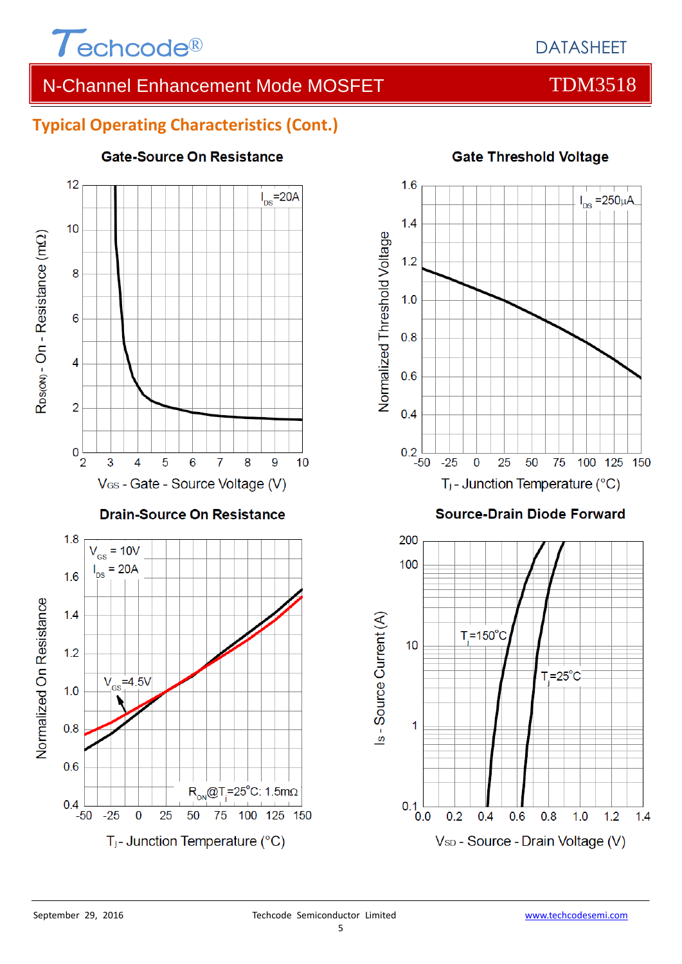

# **Typical Operating Characteristics (Cont.)**



#### **Gate-Source On Resistance**



#### **Source-Drain Diode Forward**



## **Gate Threshold Voltage**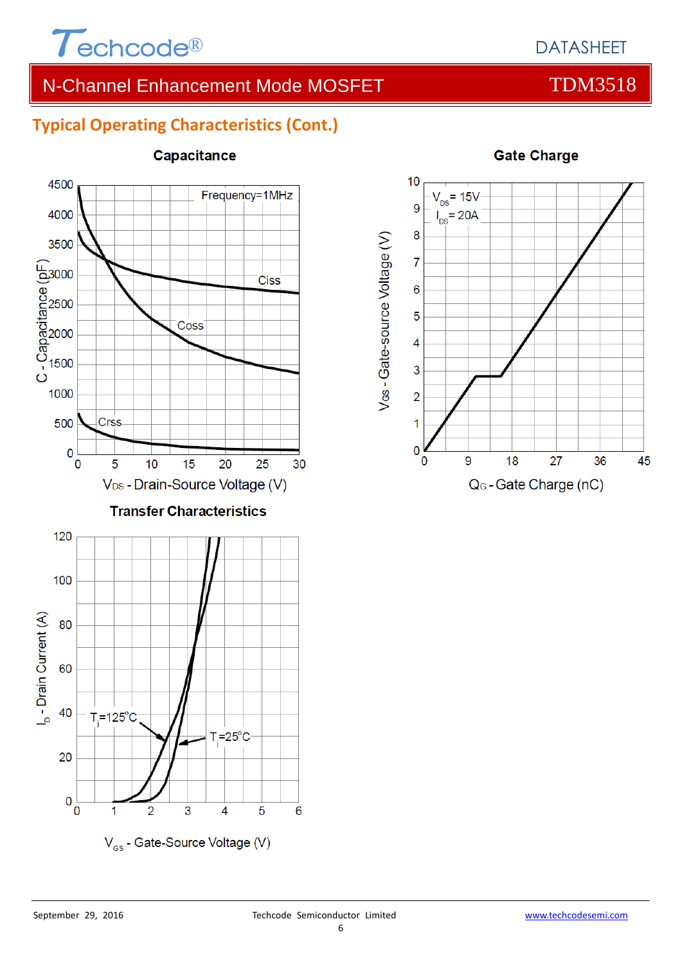

# **Typical Operating Characteristics (Cont.)**



#### Capacitance



#### **Gate Charge**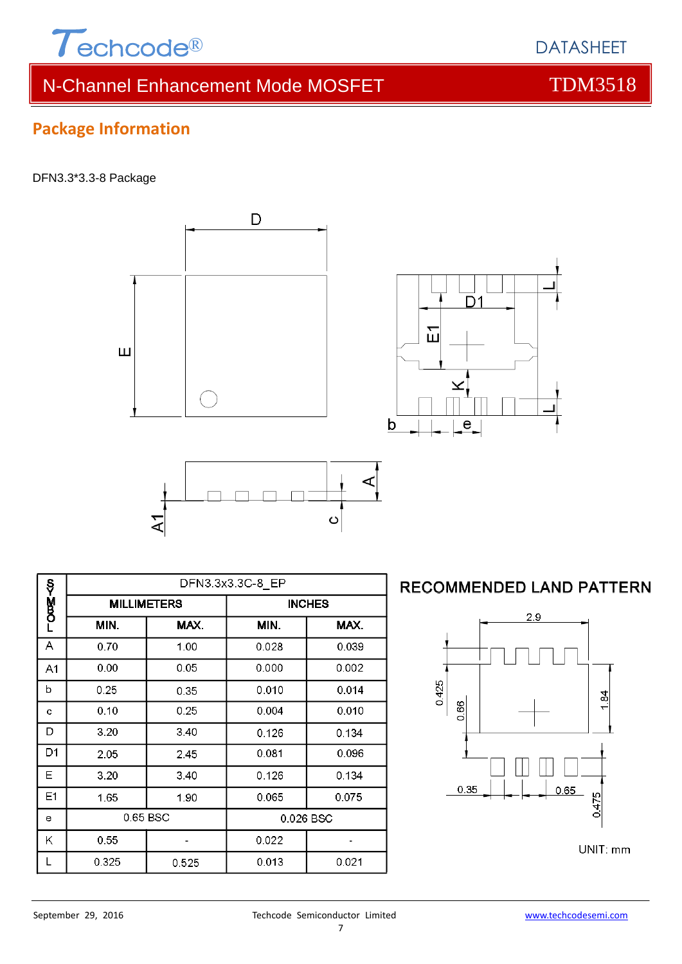

 $\overline{D}$ 

Щ

#### DFN3.3\*3.3-8 Package



 $D<sub>1</sub>$ 冚 b е

# **RECOMMENDED LAND PATTERN**



# DATASHEET